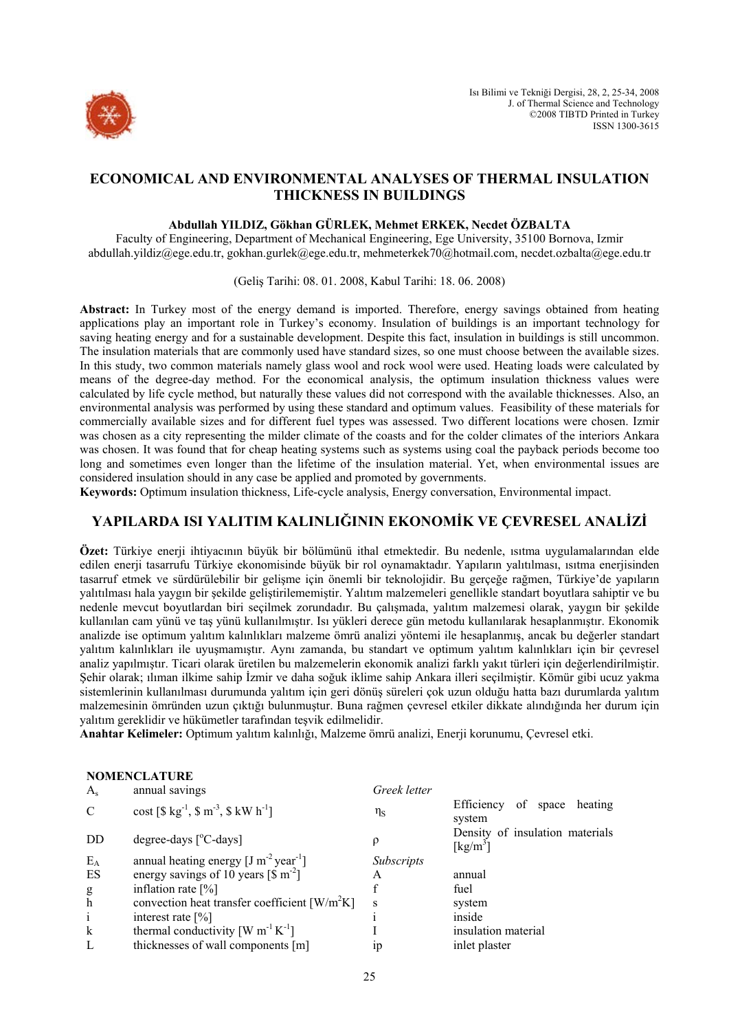

# **ECONOMICAL AND ENVIRONMENTAL ANALYSES OF THERMAL INSULATION THICKNESS IN BUILDINGS**

## **Abdullah YILDIZ, Gökhan GÜRLEK, Mehmet ERKEK, Necdet ÖZBALTA**

Faculty of Engineering, Department of Mechanical Engineering, Ege University, 35100 Bornova, Izmir abdullah.yildiz@ege.edu.tr, gokhan.gurlek@ege.edu.tr, mehmeterkek70@hotmail.com, necdet.ozbalta@ege.edu.tr

(Geliş Tarihi: 08. 01. 2008, Kabul Tarihi: 18. 06. 2008)

**Abstract:** In Turkey most of the energy demand is imported. Therefore, energy savings obtained from heating applications play an important role in Turkey's economy. Insulation of buildings is an important technology for saving heating energy and for a sustainable development. Despite this fact, insulation in buildings is still uncommon. The insulation materials that are commonly used have standard sizes, so one must choose between the available sizes. In this study, two common materials namely glass wool and rock wool were used. Heating loads were calculated by means of the degree-day method. For the economical analysis, the optimum insulation thickness values were calculated by life cycle method, but naturally these values did not correspond with the available thicknesses. Also, an environmental analysis was performed by using these standard and optimum values. Feasibility of these materials for commercially available sizes and for different fuel types was assessed. Two different locations were chosen. Izmir was chosen as a city representing the milder climate of the coasts and for the colder climates of the interiors Ankara was chosen. It was found that for cheap heating systems such as systems using coal the payback periods become too long and sometimes even longer than the lifetime of the insulation material. Yet, when environmental issues are considered insulation should in any case be applied and promoted by governments.

**Keywords:** Optimum insulation thickness, Life-cycle analysis, Energy conversation, Environmental impact.

# **YAPILARDA ISI YALITIM KALINLIĞININ EKONOMİK VE ÇEVRESEL ANALİZİ**

**Özet:** Türkiye enerji ihtiyacının büyük bir bölümünü ithal etmektedir. Bu nedenle, ısıtma uygulamalarından elde edilen enerji tasarrufu Türkiye ekonomisinde büyük bir rol oynamaktadır. Yapıların yalıtılması, ısıtma enerjisinden tasarruf etmek ve sürdürülebilir bir gelişme için önemli bir teknolojidir. Bu gerçeğe rağmen, Türkiye'de yapıların yalıtılması hala yaygın bir şekilde geliştirilememiştir. Yalıtım malzemeleri genellikle standart boyutlara sahiptir ve bu nedenle mevcut boyutlardan biri seçilmek zorundadır. Bu çalışmada, yalıtım malzemesi olarak, yaygın bir şekilde kullanılan cam yünü ve taş yünü kullanılmıştır. Isı yükleri derece gün metodu kullanılarak hesaplanmıştır. Ekonomik analizde ise optimum yalıtım kalınlıkları malzeme ömrü analizi yöntemi ile hesaplanmış, ancak bu değerler standart yalıtım kalınlıkları ile uyuşmamıştır. Aynı zamanda, bu standart ve optimum yalıtım kalınlıkları için bir çevresel analiz yapılmıştır. Ticari olarak üretilen bu malzemelerin ekonomik analizi farklı yakıt türleri için değerlendirilmiştir. Şehir olarak; ılıman ilkime sahip İzmir ve daha soğuk iklime sahip Ankara illeri seçilmiştir. Kömür gibi ucuz yakma sistemlerinin kullanılması durumunda yalıtım için geri dönüş süreleri çok uzun olduğu hatta bazı durumlarda yalıtım malzemesinin ömründen uzun çıktığı bulunmuştur. Buna rağmen çevresel etkiler dikkate alındığında her durum için yalıtım gereklidir ve hükümetler tarafından teşvik edilmelidir.

**Anahtar Kelimeler:** Optimum yalıtım kalınlığı, Malzeme ömrü analizi, Enerji korunumu, Çevresel etki.

|                    | <b>NOMENCLATURE</b>                                                      |                   |                                                                  |
|--------------------|--------------------------------------------------------------------------|-------------------|------------------------------------------------------------------|
| $A_{s}$            | annual savings                                                           | Greek letter      |                                                                  |
| $\mathcal{C}$      | cost $[\$ \text{kg}^{-1}, \$ \text{m}^{-3}, \$ \text{kW} \text{h}^{-1}]$ | $\eta_{\rm S}$    | of space<br>Efficiency<br>heating<br>system                      |
| DD                 | degree-days $[^{\circ}C$ -days]                                          |                   | Density of insulation materials<br>$\lceil \text{kg/m}^3 \rceil$ |
| $E_A$              | annual heating energy $[J m^{-2} year^{-1}]$                             | <i>Subscripts</i> |                                                                  |
| ES                 | energy savings of 10 years $\lceil \frac{1}{3} \text{ m}^{-2} \rceil$    | A                 | annual                                                           |
|                    | inflation rate $[\%]$                                                    |                   | fuel                                                             |
| $_{\rm h}^{\rm g}$ | convection heat transfer coefficient $\lceil W/m^2K \rceil$              | S                 | system                                                           |
| $\mathbf{i}$       | interest rate $[\%]$                                                     |                   | inside                                                           |
| $\bf k$            | thermal conductivity $[W \, m^{-1} K^{-1}]$                              |                   | insulation material                                              |
| L                  | thicknesses of wall components [m]                                       | 1p                | inlet plaster                                                    |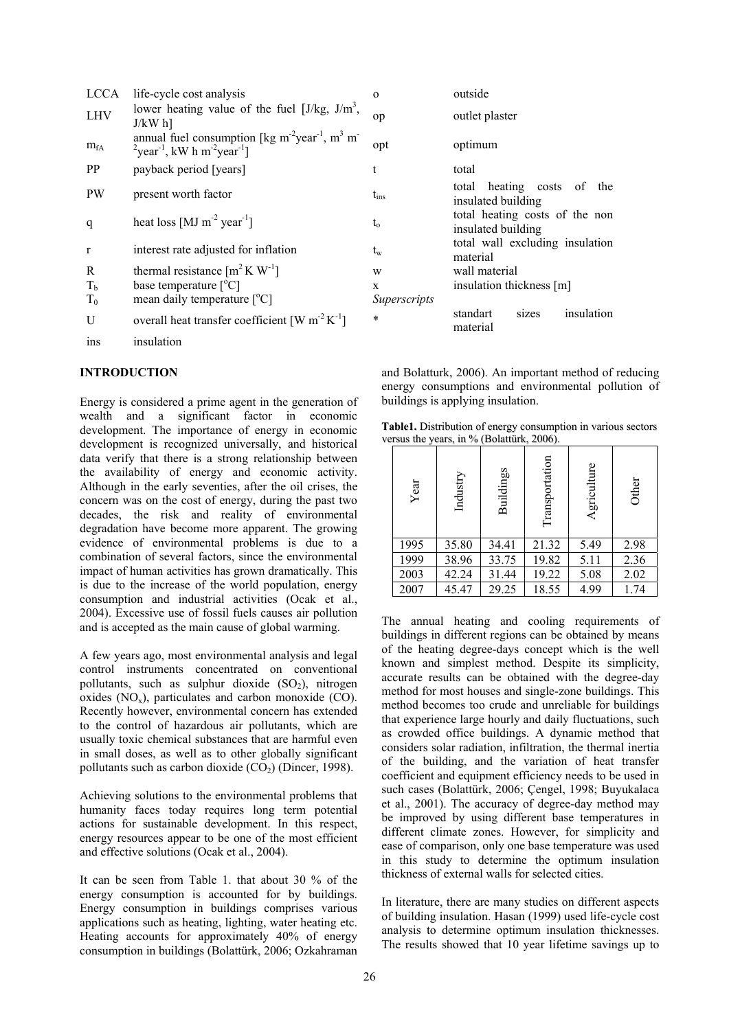| <b>LCCA</b> | life-cycle cost analysis                                                                                                                                                            | $\Omega$     | outside                                              |  |
|-------------|-------------------------------------------------------------------------------------------------------------------------------------------------------------------------------------|--------------|------------------------------------------------------|--|
| <b>LHV</b>  | lower heating value of the fuel $[J/kg, J/m^3,$<br>$J/kW$ h]                                                                                                                        | op           | outlet plaster                                       |  |
| $m_{fA}$    | annual fuel consumption [kg m <sup>-2</sup> year <sup>-1</sup> , m <sup>3</sup> m <sup>-</sup><br>$\mu$ <sup>2</sup> year <sup>-1</sup> , kW h m <sup>-2</sup> year <sup>-1</sup> ] | opt          | optimum                                              |  |
| PP.         | payback period [years]                                                                                                                                                              | t            | total                                                |  |
| <b>PW</b>   | present worth factor                                                                                                                                                                | $t_{ins}$    | total heating costs of<br>the<br>insulated building  |  |
| q           | heat loss [MJ $m^{-2}$ year <sup>-1</sup> ]                                                                                                                                         | $t_{o}$      | total heating costs of the non<br>insulated building |  |
| $\mathbf r$ | interest rate adjusted for inflation                                                                                                                                                | $t_{w}$      | total wall excluding insulation<br>material          |  |
| R           | thermal resistance $[m^2 K W^{-1}]$                                                                                                                                                 | W            | wall material                                        |  |
| $T_{b}$     | base temperature $[^{\circ}C]$                                                                                                                                                      | $\mathbf{x}$ | insulation thickness [m]                             |  |
| $T_0$       | mean daily temperature $[°C]$                                                                                                                                                       | Superscripts |                                                      |  |
| U           | overall heat transfer coefficient [W $m^{-2} K^{-1}$ ]                                                                                                                              | $\ast$       | insulation<br>standart<br>sizes<br>material          |  |
| ins         | insulation                                                                                                                                                                          |              |                                                      |  |

### **INTRODUCTION**

Energy is considered a prime agent in the generation of wealth and a significant factor in economic development. The importance of energy in economic development is recognized universally, and historical data verify that there is a strong relationship between the availability of energy and economic activity. Although in the early seventies, after the oil crises, the concern was on the cost of energy, during the past two decades, the risk and reality of environmental degradation have become more apparent. The growing evidence of environmental problems is due to a combination of several factors, since the environmental impact of human activities has grown dramatically. This is due to the increase of the world population, energy consumption and industrial activities (Ocak et al., 2004). Excessive use of fossil fuels causes air pollution and is accepted as the main cause of global warming.

A few years ago, most environmental analysis and legal control instruments concentrated on conventional pollutants, such as sulphur dioxide  $(SO<sub>2</sub>)$ , nitrogen oxides  $(NO_x)$ , particulates and carbon monoxide  $(CO)$ . Recently however, environmental concern has extended to the control of hazardous air pollutants, which are usually toxic chemical substances that are harmful even in small doses, as well as to other globally significant pollutants such as carbon dioxide  $(CO<sub>2</sub>)$  (Dincer, 1998).

Achieving solutions to the environmental problems that humanity faces today requires long term potential actions for sustainable development. In this respect, energy resources appear to be one of the most efficient and effective solutions (Ocak et al., 2004).

It can be seen from Table 1. that about 30 % of the energy consumption is accounted for by buildings. Energy consumption in buildings comprises various applications such as heating, lighting, water heating etc. Heating accounts for approximately 40% of energy consumption in buildings (Bolattürk, 2006; Ozkahraman

| ysis                                                                                               | $\Omega$                    | outside                                              |
|----------------------------------------------------------------------------------------------------|-----------------------------|------------------------------------------------------|
| ie of the fuel $[J/kg, J/m^3]$ ,                                                                   | op                          | outlet plaster                                       |
| ption [kg m <sup>-2</sup> year <sup>-1</sup> , m <sup>3</sup> m <sup>-</sup><br>ar <sup>-1</sup> ] | opt                         | optimum                                              |
| ars]                                                                                               | t                           | total                                                |
| r                                                                                                  | $t_{ins}$                   | heating costs of the<br>total<br>insulated building  |
| ear <sup>-1</sup> 1                                                                                | $t_{o}$                     | total heating costs of the non<br>insulated building |
| d for inflation:                                                                                   | $\mathfrak{t}_{\mathrm{w}}$ | total wall excluding insulation<br>material          |
| $[m^2 K W^{-1}]$                                                                                   | W                           | wall material                                        |
| C]                                                                                                 | X                           | insulation thickness [m]                             |
| $\textrm{ature}$ [°C]                                                                              | <i>Superscripts</i>         |                                                      |
| r coefficient $[W \, m^{-2} K^{-1}]$                                                               | $\ast$                      | standart<br>insulation<br>sizes<br>material          |

and Bolatturk, 2006). An important method of reducing energy consumptions and environmental pollution of buildings is applying insulation.

**Table1.** Distribution of energy consumption in various sectors versus the years, in % (Bolattürk, 2006).

| Year | Industry | <b>Buildings</b> | Transportation | Agriculture | Other |
|------|----------|------------------|----------------|-------------|-------|
| 1995 | 35.80    | 34.41            | 21.32          | 5.49        | 2.98  |
| 1999 | 38.96    | 33.75            | 19.82          | 5.11        | 2.36  |
| 2003 | 42.24    | 31.44            | 19.22          | 5.08        | 2.02  |
| 2007 | 45.47    | 29.25            | 18.55          | 4.99        | 1.74  |

The annual heating and cooling requirements of buildings in different regions can be obtained by means of the heating degree-days concept which is the well known and simplest method. Despite its simplicity, accurate results can be obtained with the degree-day method for most houses and single-zone buildings. This method becomes too crude and unreliable for buildings that experience large hourly and daily fluctuations, such as crowded office buildings. A dynamic method that considers solar radiation, infiltration, the thermal inertia of the building, and the variation of heat transfer coefficient and equipment efficiency needs to be used in such cases (Bolattürk, 2006; Çengel, 1998; Buyukalaca et al., 2001). The accuracy of degree-day method may be improved by using different base temperatures in different climate zones. However, for simplicity and ease of comparison, only one base temperature was used in this study to determine the optimum insulation thickness of external walls for selected cities.

In literature, there are many studies on different aspects of building insulation. Hasan (1999) used life-cycle cost analysis to determine optimum insulation thicknesses. The results showed that 10 year lifetime savings up to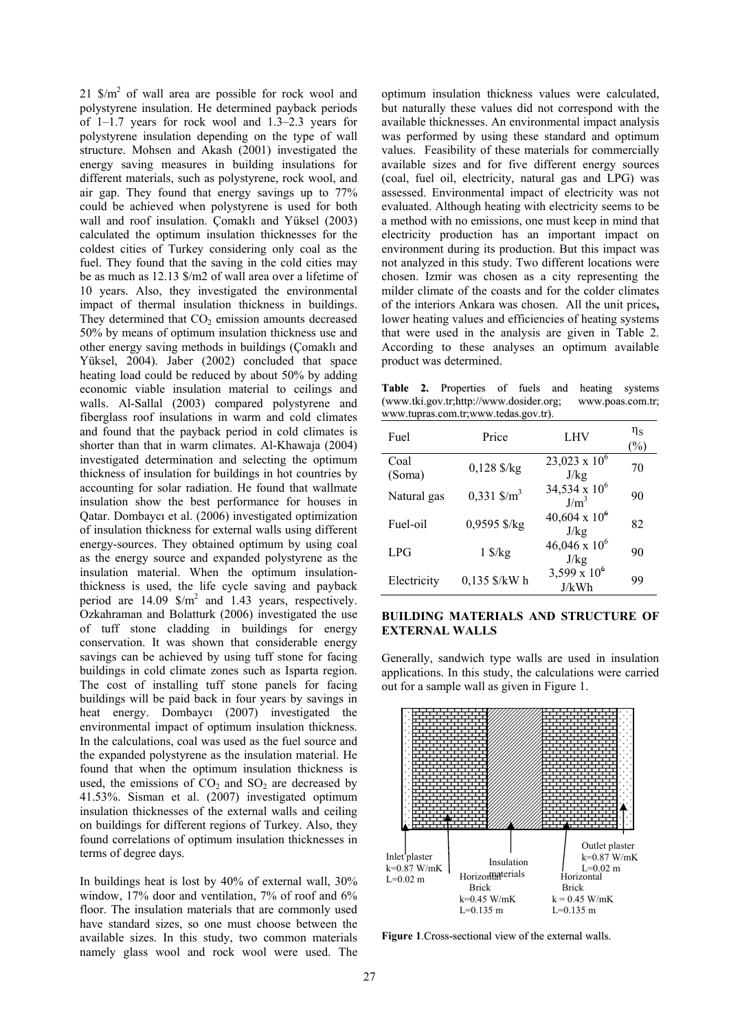$21 \text{ S/m}^2$  of wall area are possible for rock wool and polystyrene insulation. He determined payback periods of 1–1.7 years for rock wool and 1.3–2.3 years for polystyrene insulation depending on the type of wall structure. Mohsen and Akash (2001) investigated the energy saving measures in building insulations for different materials, such as polystyrene, rock wool, and air gap. They found that energy savings up to 77% could be achieved when polystyrene is used for both wall and roof insulation. Çomaklı and Yüksel (2003) calculated the optimum insulation thicknesses for the coldest cities of Turkey considering only coal as the fuel. They found that the saving in the cold cities may be as much as 12.13 \$/m2 of wall area over a lifetime of 10 years. Also, they investigated the environmental impact of thermal insulation thickness in buildings. They determined that  $CO<sub>2</sub>$  emission amounts decreased 50% by means of optimum insulation thickness use and other energy saving methods in buildings (Çomaklı and Yüksel, 2004). Jaber (2002) concluded that space heating load could be reduced by about 50% by adding economic viable insulation material to ceilings and walls. Al-Sallal (2003) compared polystyrene and fiberglass roof insulations in warm and cold climates and found that the payback period in cold climates is shorter than that in warm climates. Al-Khawaja (2004) investigated determination and selecting the optimum thickness of insulation for buildings in hot countries by accounting for solar radiation. He found that wallmate insulation show the best performance for houses in Qatar. Dombaycı et al. (2006) investigated optimization of insulation thickness for external walls using different energy-sources. They obtained optimum by using coal as the energy source and expanded polystyrene as the insulation material. When the optimum insulationthickness is used, the life cycle saving and payback period are  $14.09 \text{ S/m}^2$  and  $1.43 \text{ years}$ , respectively. Ozkahraman and Bolatturk (2006) investigated the use of tuff stone cladding in buildings for energy conservation. It was shown that considerable energy savings can be achieved by using tuff stone for facing buildings in cold climate zones such as Isparta region. The cost of installing tuff stone panels for facing buildings will be paid back in four years by savings in heat energy. Dombaycı (2007) investigated the environmental impact of optimum insulation thickness. In the calculations, coal was used as the fuel source and the expanded polystyrene as the insulation material. He found that when the optimum insulation thickness is used, the emissions of  $CO<sub>2</sub>$  and  $SO<sub>2</sub>$  are decreased by 41.53%. Sisman et al. (2007) investigated optimum insulation thicknesses of the external walls and ceiling on buildings for different regions of Turkey. Also, they found correlations of optimum insulation thicknesses in terms of degree days.

In buildings heat is lost by 40% of external wall, 30% window, 17% door and ventilation, 7% of roof and 6% floor. The insulation materials that are commonly used have standard sizes, so one must choose between the available sizes. In this study, two common materials namely glass wool and rock wool were used. The

optimum insulation thickness values were calculated, but naturally these values did not correspond with the available thicknesses. An environmental impact analysis was performed by using these standard and optimum values. Feasibility of these materials for commercially available sizes and for five different energy sources (coal, fuel oil, electricity, natural gas and LPG) was assessed. Environmental impact of electricity was not evaluated. Although heating with electricity seems to be a method with no emissions, one must keep in mind that electricity production has an important impact on environment during its production. But this impact was not analyzed in this study. Two different locations were chosen. Izmir was chosen as a city representing the milder climate of the coasts and for the colder climates of the interiors Ankara was chosen. All the unit prices**,**  lower heating values and efficiencies of heating systems that were used in the analysis are given in Table 2. According to these analyses an optimum available product was determined.

**Table 2.** Properties of fuels and heating systems (www.tki.gov.tr;http://www.dosider.org; www.poas.com.tr; www.tupras.com.tr;www.tedas.gov.tr).

| Fuel           | Price                          | LHV                                 | $\eta_{\rm S}$<br>$\frac{6}{6}$ |
|----------------|--------------------------------|-------------------------------------|---------------------------------|
| Coal<br>(Soma) | $0,128$ \$/kg                  | $23,023 \times 10^6$<br>J/kg        | 70                              |
| Natural gas    | $0,331$ \$/m <sup>3</sup>      | 34,534 x $10^6$<br>J/m <sup>3</sup> | 90                              |
| Fuel-oil       | 0,9595 \$/kg                   | $40,604 \times 10^6$<br>J/kg        | 82                              |
| LPG            | $1 \frac{\text{S}}{\text{kg}}$ | $46,046 \times 10^6$<br>J/kg        | 90                              |
| Electricity    | 0,135 \$/kW h                  | 3,599 x $10^6$<br>J/kWh             | 99                              |

#### **BUILDING MATERIALS AND STRUCTURE OF EXTERNAL WALLS**

Generally, sandwich type walls are used in insulation applications. In this study, the calculations were carried out for a sample wall as given in Figure 1.



**Figure 1**.Cross-sectional view of the external walls.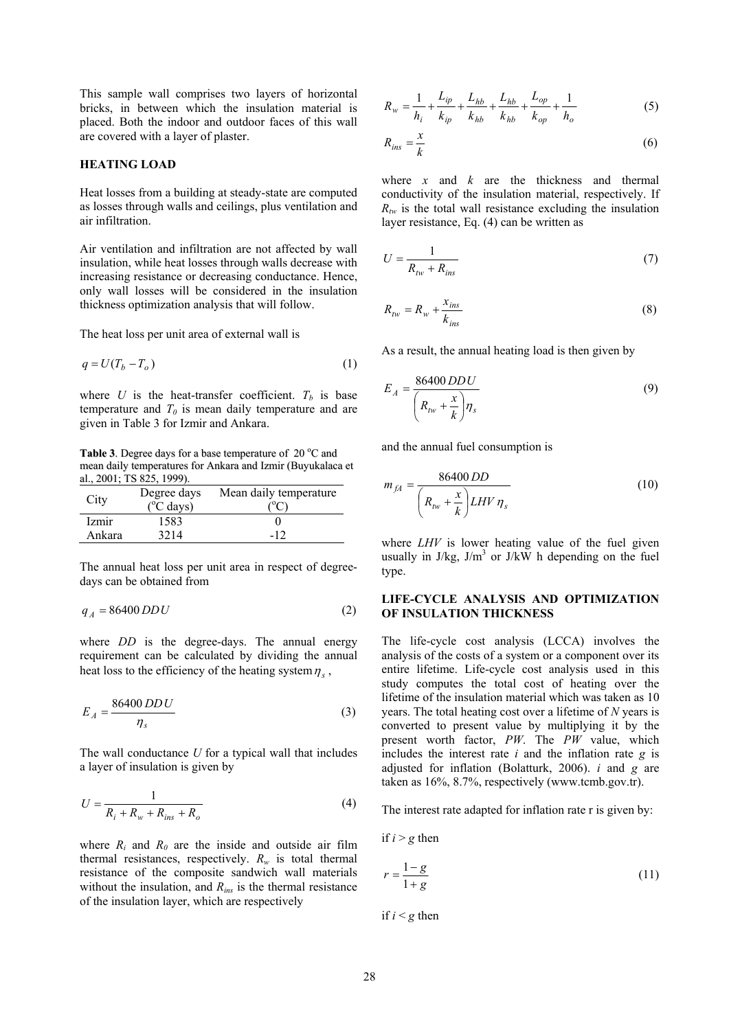This sample wall comprises two layers of horizontal bricks, in between which the insulation material is placed. Both the indoor and outdoor faces of this wall are covered with a layer of plaster.

#### **HEATING LOAD**

Heat losses from a building at steady-state are computed as losses through walls and ceilings, plus ventilation and air infiltration.

Air ventilation and infiltration are not affected by wall insulation, while heat losses through walls decrease with increasing resistance or decreasing conductance. Hence, only wall losses will be considered in the insulation thickness optimization analysis that will follow.

The heat loss per unit area of external wall is

$$
q = U(T_b - T_o) \tag{1}
$$

where  $U$  is the heat-transfer coefficient.  $T_b$  is base temperature and  $T_0$  is mean daily temperature and are given in Table 3 for Izmir and Ankara.

Table 3. Degree days for a base temperature of 20 °C and mean daily temperatures for Ankara and Izmir (Buyukalaca et al., 2001; TS 825, 1999).

| City   | Degree days<br>$(^{\circ}C$ days) | Mean daily temperature |
|--------|-----------------------------------|------------------------|
| Izmir  | 1583                              |                        |
| Ankara | 3214                              | $-12$                  |

The annual heat loss per unit area in respect of degreedays can be obtained from

$$
q_A = 86400 \, DDU \tag{2}
$$

where *DD* is the degree-days. The annual energy requirement can be calculated by dividing the annual heat loss to the efficiency of the heating system  $\eta_s$ ,

$$
E_A = \frac{86400 \, DD \, U}{\eta_s} \tag{3}
$$

The wall conductance *U* for a typical wall that includes a layer of insulation is given by

$$
U = \frac{1}{R_i + R_w + R_{ins} + R_o}
$$
 (4)

where  $R_i$  and  $R_0$  are the inside and outside air film thermal resistances, respectively.  $R_w$  is total thermal resistance of the composite sandwich wall materials without the insulation, and *Rins* is the thermal resistance of the insulation layer, which are respectively

$$
R_w = \frac{1}{h_i} + \frac{L_{ip}}{k_{ip}} + \frac{L_{hb}}{k_{hb}} + \frac{L_{hb}}{k_{hb}} + \frac{L_{op}}{k_{op}} + \frac{1}{h_o}
$$
(5)

$$
R_{ins} = \frac{x}{k} \tag{6}
$$

where *x* and *k* are the thickness and thermal conductivity of the insulation material, respectively. If  $R_{tw}$  is the total wall resistance excluding the insulation layer resistance, Eq. (4) can be written as

$$
U = \frac{1}{R_{\text{tw}} + R_{\text{ins}}}
$$
\n<sup>(7)</sup>

$$
R_{tw} = R_w + \frac{x_{ins}}{k_{ins}}\tag{8}
$$

As a result, the annual heating load is then given by

$$
E_A = \frac{86400 \, DD \, U}{\left(R_{tw} + \frac{x}{k}\right) \eta_s} \tag{9}
$$

and the annual fuel consumption is

$$
m_{fA} = \frac{86400 \, DD}{\left(R_{tw} + \frac{x}{k}\right) LHV \, \eta_s} \tag{10}
$$

where *LHV* is lower heating value of the fuel given usually in  $J/kg$ ,  $J/m<sup>3</sup>$  or  $J/kW$  h depending on the fuel type.

## **LIFE-CYCLE ANALYSIS AND OPTIMIZATION OF INSULATION THICKNESS**

The life-cycle cost analysis (LCCA) involves the analysis of the costs of a system or a component over its entire lifetime. Life-cycle cost analysis used in this study computes the total cost of heating over the lifetime of the insulation material which was taken as 10 years. The total heating cost over a lifetime of *N* years is converted to present value by multiplying it by the present worth factor, *PW*. The *PW* value, which includes the interest rate *i* and the inflation rate *g* is adjusted for inflation (Bolatturk, 2006). *i* and *g* are taken as 16%, 8.7%, respectively (www.tcmb.gov.tr).

The interest rate adapted for inflation rate r is given by:

if  $i > g$  then

$$
r = \frac{1 - g}{1 + g} \tag{11}
$$

if  $i < g$  then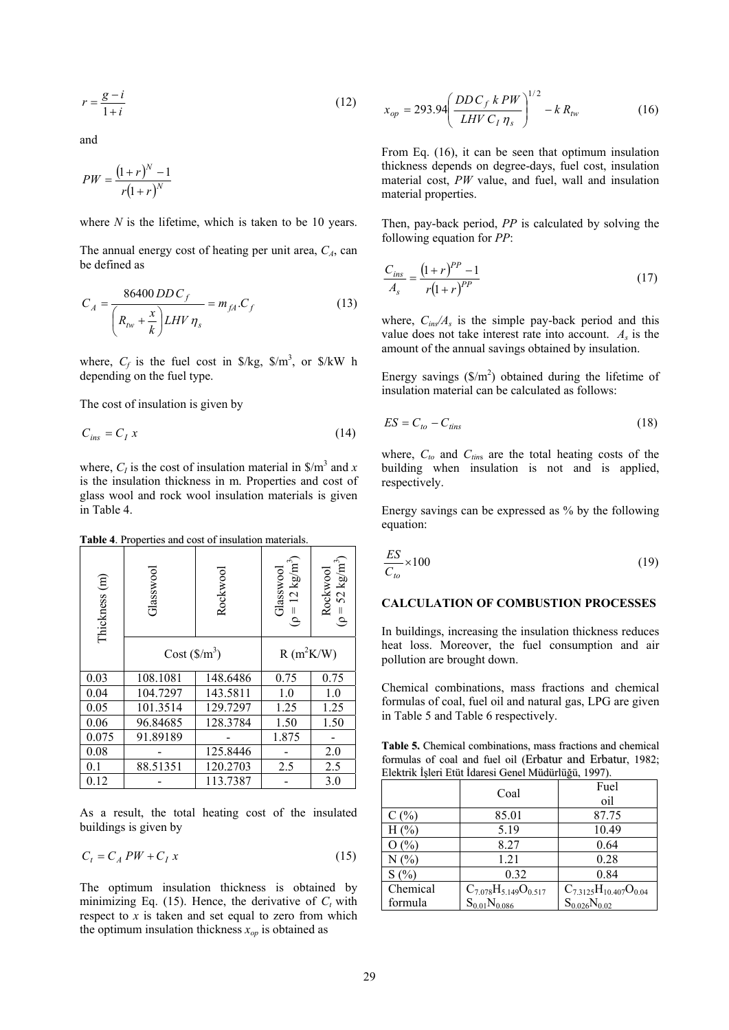$$
r = \frac{g - i}{1 + i} \tag{12}
$$

and

$$
PW = \frac{(1+r)^N - 1}{r(1+r)^N}
$$

where *N* is the lifetime, which is taken to be 10 years.

The annual energy cost of heating per unit area,  $C_A$ , can be defined as

$$
C_A = \frac{86400 \, DDC_f}{\left(R_{tw} + \frac{x}{k}\right) LHV \, \eta_s} = m_{fA} . C_f \tag{13}
$$

where,  $C_f$  is the fuel cost in  $\frac{8}{kg}$ ,  $\frac{8}{m^3}$ , or  $\frac{8}{kW}$  h depending on the fuel type.

The cost of insulation is given by

$$
C_{ins} = C_I x \tag{14}
$$

where,  $C_I$  is the cost of insulation material in  $\frac{1}{2}$  and *x* is the insulation thickness in m. Properties and cost of glass wool and rock wool insulation materials is given in Table 4.

**Table 4**. Properties and cost of insulation materials.

| Thickness (m) | Glasswool     | Rockwool | Glasswool<br>( $\rho = 12 \text{ kg/m}^3$ ) | Rockwool<br>( $\rho = 52 \text{ kg/m}^3$ ) |
|---------------|---------------|----------|---------------------------------------------|--------------------------------------------|
|               | $Cost(S/m^3)$ |          | $R(m^2K/W)$                                 |                                            |
| 0.03          | 108.1081      | 148.6486 | 0.75                                        | 0.75                                       |
| 0.04          | 104.7297      | 143.5811 | 1.0                                         | 1.0                                        |
| 0.05          | 101.3514      | 129.7297 | 1.25                                        | 1.25                                       |
| 0.06          | 96.84685      | 128.3784 | 1.50                                        | 1.50                                       |
| 0.075         | 91.89189      |          | 1.875                                       |                                            |
| 0.08          |               | 125.8446 |                                             | 2.0                                        |
| 0.1           | 88.51351      | 120.2703 | 2.5                                         | 2.5                                        |
| 0.12          |               | 113.7387 |                                             | 3.0                                        |

As a result, the total heating cost of the insulated buildings is given by

$$
C_t = C_A PW + C_I x \tag{15}
$$

The optimum insulation thickness is obtained by minimizing Eq.  $(15)$ . Hence, the derivative of  $C_t$  with respect to *x* is taken and set equal to zero from which the optimum insulation thickness  $x_{op}$  is obtained as

$$
x_{op} = 293.94 \left( \frac{DD C_f k P W}{L H V C_I \eta_s} \right)^{1/2} - k R_{hv}
$$
 (16)

From Eq. (16), it can be seen that optimum insulation thickness depends on degree-days, fuel cost, insulation material cost, *PW* value, and fuel, wall and insulation material properties.

Then, pay-back period, *PP* is calculated by solving the following equation for *PP*:

$$
\frac{C_{ins}}{A_s} = \frac{(1+r)^{PP} - 1}{r(1+r)^{PP}}
$$
\n(17)

where,  $C_{ins}/A_s$  is the simple pay-back period and this value does not take interest rate into account. *As* is the amount of the annual savings obtained by insulation.

Energy savings  $(\frac{C}{m^2})$  obtained during the lifetime of insulation material can be calculated as follows:

$$
ES = C_{to} - C_{tins} \tag{18}
$$

where,  $C_{to}$  and  $C_{tins}$  are the total heating costs of the building when insulation is not and is applied, respectively.

Energy savings can be expressed as % by the following equation:

$$
\frac{ES}{C_{to}} \times 100\tag{19}
$$

## **CALCULATION OF COMBUSTION PROCESSES**

In buildings, increasing the insulation thickness reduces heat loss. Moreover, the fuel consumption and air pollution are brought down.

Chemical combinations, mass fractions and chemical formulas of coal, fuel oil and natural gas, LPG are given in Table 5 and Table 6 respectively.

**Table 5.** Chemical combinations, mass fractions and chemical formulas of coal and fuel oil (Erbatur, and Erbatur, 1982; Elektrik İşleri Etüt İdaresi Genel Müdürlüğü, 1997).

|          | Coal                          | Fuel<br>oil                    |
|----------|-------------------------------|--------------------------------|
| $C($ %)  | 85.01                         | 87.75                          |
| $H(\% )$ | 5.19                          | 10.49                          |
| O(%)     | 8.27                          | 0.64                           |
| N(%      | 1.21                          | 0.28                           |
| S(%)     | 0.32                          | 0.84                           |
| Chemical | $C_{7.078}H_{5.149}O_{0.517}$ | $C_{7.3125}H_{10.407}O_{0.04}$ |
| formula  | $S_{0.01}N_{0.086}$           | $S_{0.026}N_{0.02}$            |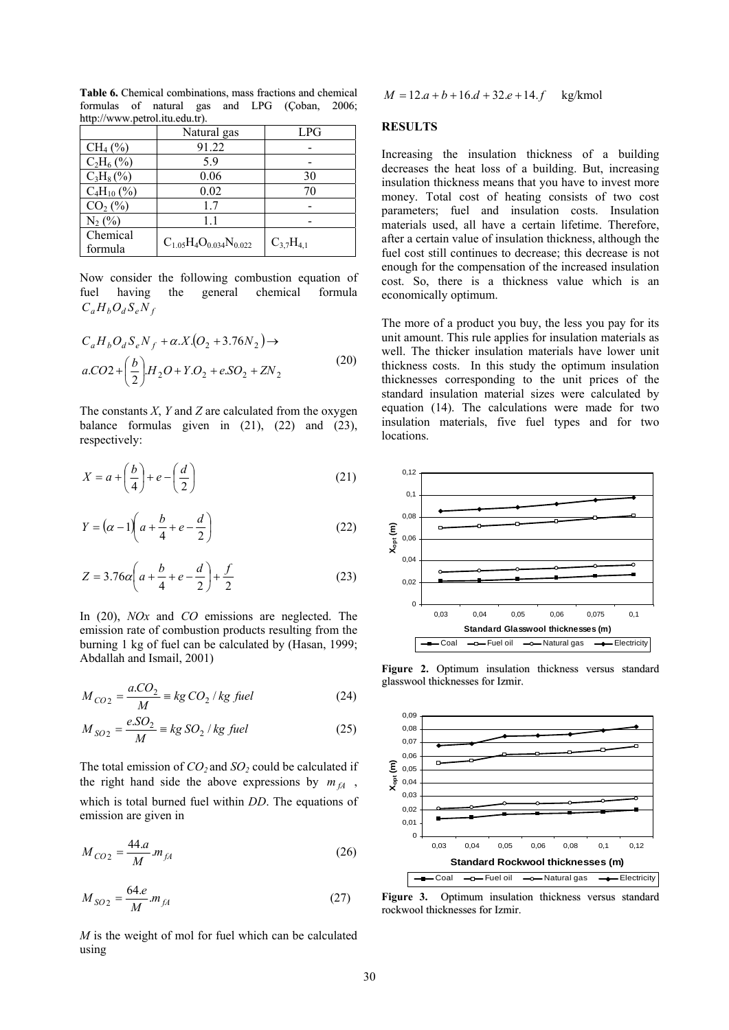|                     | Natural gas                     | LPG              |
|---------------------|---------------------------------|------------------|
| $CH_4(\%)$          | 91.22                           |                  |
| $C_2H_6(%)$         | 5.9                             |                  |
| $C_3H_8(\%)$        | 0.06                            | 30               |
| $C_4H_{10}$ (%)     | 0.02                            | 70               |
| $CO2(\%)$           | 1.7                             |                  |
| $N_2$ (%)           | 11                              |                  |
| Chemical<br>formula | $C_{1.05}H_4O_{0.034}N_{0.022}$ | $C_{3,7}H_{4,1}$ |

**Table 6.** Chemical combinations, mass fractions and chemical formulas of natural gas and LPG (Çoban, 2006; http://www.petrol.itu.edu.tr).

Now consider the following combustion equation of fuel having the general chemical formula  $C_a H_b O_d S_e N_f$ 

$$
C_aH_bO_dS_eN_f + \alpha.X.(O_2 + 3.76N_2) \rightarrow
$$
  

$$
a.CO2 + \left(\frac{b}{2}\right)H_2O + Y.O_2 + eSO_2 + ZN_2
$$
 (20)

The constants *X*, *Y* and *Z* are calculated from the oxygen balance formulas given in  $(21)$ ,  $(22)$  and  $(23)$ , respectively:

$$
X = a + \left(\frac{b}{4}\right) + e - \left(\frac{d}{2}\right)
$$
 (21)

$$
Y = \left(\alpha - 1\right)\left(a + \frac{b}{4} + e - \frac{d}{2}\right) \tag{22}
$$

$$
Z = 3.76\alpha \left( a + \frac{b}{4} + e - \frac{d}{2} \right) + \frac{f}{2}
$$
 (23)

In (20), *NOx* and *CO* emissions are neglected. The emission rate of combustion products resulting from the burning 1 kg of fuel can be calculated by (Hasan, 1999; Abdallah and Ismail, 2001)

$$
M_{CO2} = \frac{a\text{.}CO_2}{M} \equiv \text{kg CO}_2 \text{ / kg fuel}
$$
 (24)

$$
M_{SO_2} = \frac{e.SO_2}{M} \equiv kg SO_2 / kg
$$
 *fuel* (25)

The total emission of  $CO_2$  and  $SO_2$  could be calculated if the right hand side the above expressions by  $m_{fA}$ , which is total burned fuel within *DD*. The equations of emission are given in

$$
M_{CO2} = \frac{44.a}{M} m_{fA} \tag{26}
$$

$$
M_{SO2} = \frac{64.e}{M} . m_{fA} \tag{27}
$$

*M* is the weight of mol for fuel which can be calculated using

 $M = 12.a + b + 16.d + 32.e + 14.f$  kg/kmol

#### **RESULTS**

Increasing the insulation thickness of a building decreases the heat loss of a building. But, increasing insulation thickness means that you have to invest more money. Total cost of heating consists of two cost parameters; fuel and insulation costs. Insulation materials used, all have a certain lifetime. Therefore, after a certain value of insulation thickness, although the fuel cost still continues to decrease; this decrease is not enough for the compensation of the increased insulation cost. So, there is a thickness value which is an economically optimum.

The more of a product you buy, the less you pay for its unit amount. This rule applies for insulation materials as well. The thicker insulation materials have lower unit thickness costs. In this study the optimum insulation thicknesses corresponding to the unit prices of the standard insulation material sizes were calculated by equation (14). The calculations were made for two insulation materials, five fuel types and for two locations.



**Figure 2.** Optimum insulation thickness versus standard glasswool thicknesses for Izmir.



Figure 3. Optimum insulation thickness versus standard rockwool thicknesses for Izmir.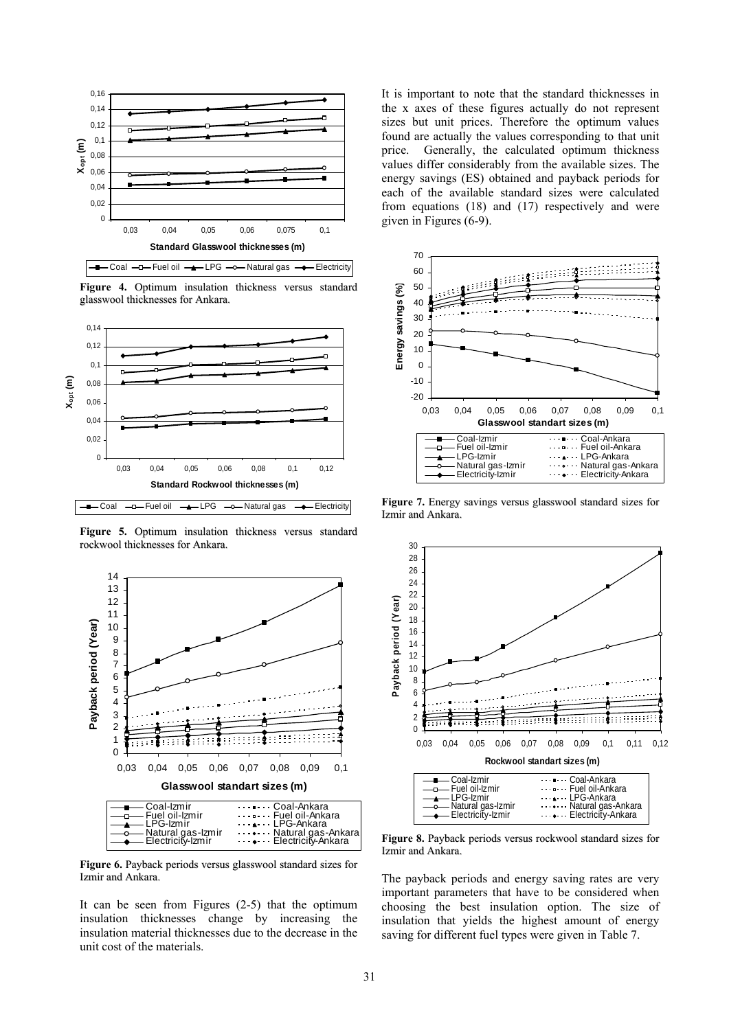

**Figure 4.** Optimum insulation thickness versus standard glasswool thicknesses for Ankara.



**Figure 5.** Optimum insulation thickness versus standard rockwool thicknesses for Ankara.



**Figure 6.** Payback periods versus glasswool standard sizes for Izmir and Ankara.

It can be seen from Figures (2-5) that the optimum insulation thicknesses change by increasing the insulation material thicknesses due to the decrease in the unit cost of the materials.

It is important to note that the standard thicknesses in the x axes of these figures actually do not represent sizes but unit prices. Therefore the optimum values found are actually the values corresponding to that unit price. Generally, the calculated optimum thickness values differ considerably from the available sizes. The energy savings (ES) obtained and payback periods for each of the available standard sizes were calculated from equations (18) and (17) respectively and were given in Figures (6-9).



**Figure 7.** Energy savings versus glasswool standard sizes for Izmir and Ankara.



**Figure 8.** Payback periods versus rockwool standard sizes for Izmir and Ankara.

The payback periods and energy saving rates are very important parameters that have to be considered when choosing the best insulation option. The size of insulation that yields the highest amount of energy saving for different fuel types were given in Table 7.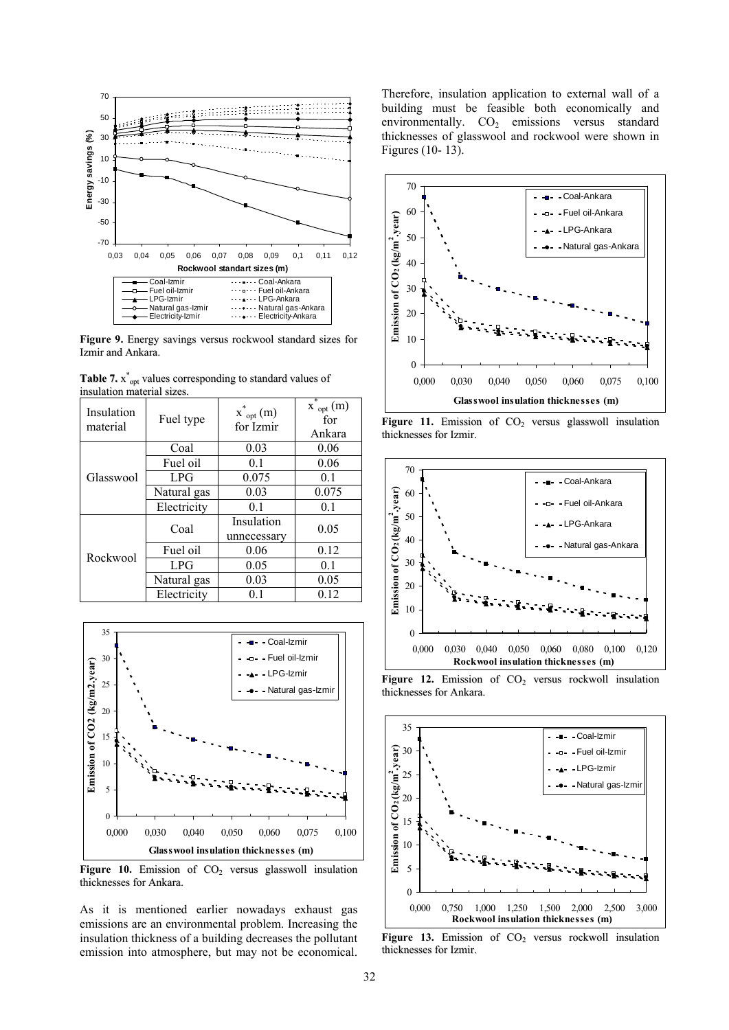

**Figure 9.** Energy savings versus rockwool standard sizes for Izmir and Ankara.

| Table 7. $x^*_{\text{opt}}$ values corresponding to standard values of |  |
|------------------------------------------------------------------------|--|
| insulation material sizes.                                             |  |

| Insulation<br>material | Fuel type   | $x^{\ast}_{\rm \; opt}(m)$<br>for Izmir | $\overline{x}_{opt}^*(m)$<br>for<br>Ankara |
|------------------------|-------------|-----------------------------------------|--------------------------------------------|
|                        | Coal        | 0.03                                    | 0.06                                       |
|                        | Fuel oil    | 0.1                                     | 0.06                                       |
| Glasswool              | LPG         | 0.075                                   | 0.1                                        |
|                        | Natural gas | 0.03                                    | 0.075                                      |
|                        | Electricity | 0.1                                     | 0.1                                        |
|                        | Coal        | Insulation<br>unnecessary               | 0.05                                       |
| Rockwool               | Fuel oil    | 0.06                                    | 0.12                                       |
|                        | LPG         | 0.05                                    | 0.1                                        |
|                        | Natural gas | 0.03                                    | 0.05                                       |
|                        | Electricity | 0.1                                     | 0.12                                       |



Figure 10. Emission of CO<sub>2</sub> versus glasswoll insulation thicknesses for Ankara.

As it is mentioned earlier nowadays exhaust gas emissions are an environmental problem. Increasing the insulation thickness of a building decreases the pollutant emission into atmosphere, but may not be economical. Therefore, insulation application to external wall of a building must be feasible both economically and environmentally.  $CO<sub>2</sub>$  emissions versus standard thicknesses of glasswool and rockwool were shown in Figures (10- 13).



**Figure 11.** Emission of  $CO<sub>2</sub>$  versus glasswoll insulation thicknesses for Izmir.



**Figure 12.** Emission of  $CO<sub>2</sub>$  versus rockwoll insulation thicknesses for Ankara.



Figure 13. Emission of CO<sub>2</sub> versus rockwoll insulation thicknesses for Izmir.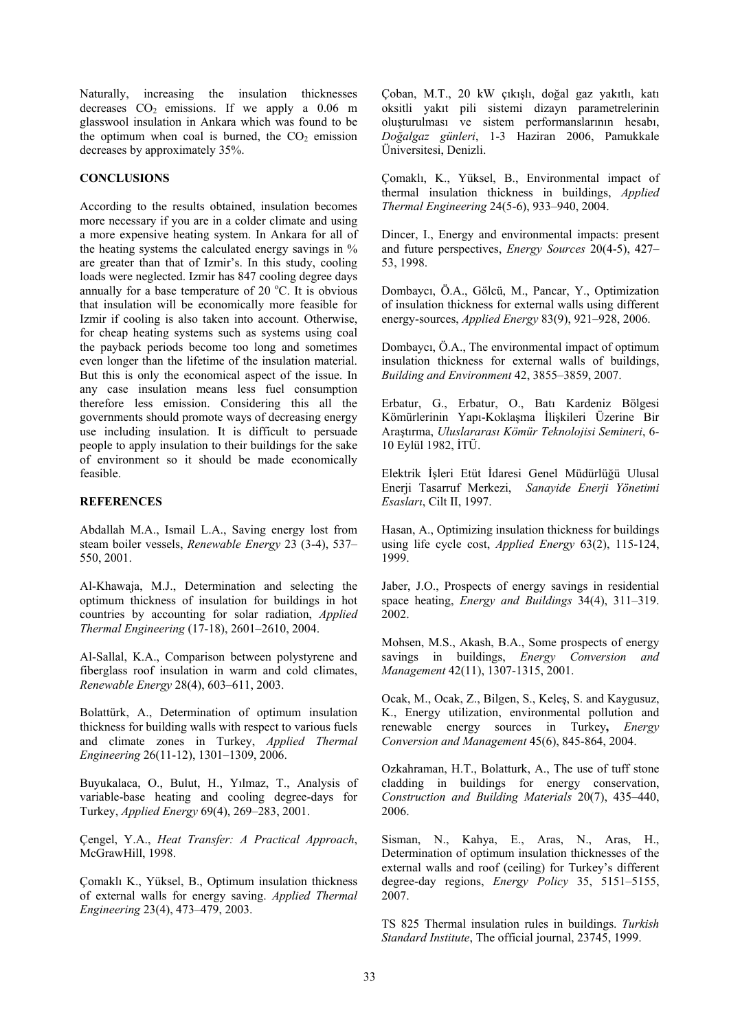Naturally, increasing the insulation thicknesses decreases  $CO<sub>2</sub>$  emissions. If we apply a 0.06 m glasswool insulation in Ankara which was found to be the optimum when coal is burned, the  $CO<sub>2</sub>$  emission decreases by approximately 35%.

### **CONCLUSIONS**

According to the results obtained, insulation becomes more necessary if you are in a colder climate and using a more expensive heating system. In Ankara for all of the heating systems the calculated energy savings in % are greater than that of Izmir's. In this study, cooling loads were neglected. Izmir has 847 cooling degree days annually for a base temperature of  $20^{\circ}$ C. It is obvious that insulation will be economically more feasible for Izmir if cooling is also taken into account. Otherwise, for cheap heating systems such as systems using coal the payback periods become too long and sometimes even longer than the lifetime of the insulation material. But this is only the economical aspect of the issue. In any case insulation means less fuel consumption therefore less emission. Considering this all the governments should promote ways of decreasing energy use including insulation. It is difficult to persuade people to apply insulation to their buildings for the sake of environment so it should be made economically feasible.

## **REFERENCES**

Abdallah M.A., Ismail L.A., Saving energy lost from steam boiler vessels, *Renewable Energy* 23 (3-4), 537– 550, 2001.

Al-Khawaja, M.J., Determination and selecting the optimum thickness of insulation for buildings in hot countries by accounting for solar radiation, *Applied Thermal Engineering* (17-18), 2601–2610, 2004.

Al-Sallal, K.A., Comparison between polystyrene and fiberglass roof insulation in warm and cold climates, *Renewable Energy* 28(4), 603–611, 2003.

Bolattürk, A., Determination of optimum insulation thickness for building walls with respect to various fuels and climate zones in Turkey, *Applied Thermal Engineering* 26(11-12), 1301–1309, 2006.

Buyukalaca, O., Bulut, H., Yılmaz, T., Analysis of variable-base heating and cooling degree-days for Turkey, *Applied Energy* 69(4), 269–283, 2001.

Çengel, Y.A., *Heat Transfer: A Practical Approach*, McGrawHill, 1998.

Çomaklı K., Yüksel, B., Optimum insulation thickness of external walls for energy saving. *Applied Thermal Engineering* 23(4), 473–479, 2003.

Çoban, M.T., 20 kW çıkışlı, doğal gaz yakıtlı, katı oksitli yakıt pili sistemi dizayn parametrelerinin oluşturulması ve sistem performanslarının hesabı, *Doğalgaz günleri*, 1-3 Haziran 2006, Pamukkale Üniversitesi, Denizli.

Çomaklı, K., Yüksel, B., Environmental impact of thermal insulation thickness in buildings, *Applied Thermal Engineering* 24(5-6), 933–940, 2004.

Dincer, I., Energy and environmental impacts: present and future perspectives, *Energy Sources* 20(4-5), 427– 53, 1998.

Dombaycı, Ö.A., Gölcü, M., Pancar, Y., Optimization of insulation thickness for external walls using different energy-sources, *Applied Energy* 83(9), 921–928, 2006.

Dombaycı, Ö.A., The environmental impact of optimum insulation thickness for external walls of buildings, *Building and Environment* 42, 3855–3859, 2007.

Erbatur, G., Erbatur, O., Batı Kardeniz Bölgesi Kömürlerinin Yapı-Koklaşma İlişkileri Üzerine Bir Araştırma, *Uluslararası Kömür Teknolojisi Semineri*, 6- 10 Eylül 1982, İTÜ.

Elektrik İşleri Etüt İdaresi Genel Müdürlüğü Ulusal Enerji Tasarruf Merkezi, *Sanayide Enerji Yönetimi Esasları*, Cilt II, 1997.

Hasan, A., Optimizing insulation thickness for buildings using life cycle cost, *Applied Energy* 63(2), 115-124, 1999.

Jaber, J.O., Prospects of energy savings in residential space heating, *Energy and Buildings* 34(4), 311–319. 2002.

Mohsen, M.S., Akash, B.A., Some prospects of energy savings in buildings, *Energy Conversion and Management* 42(11), 1307-1315, 2001.

Ocak, M., Ocak, Z., Bilgen, S., Keleş, S. and Kaygusuz, K., Energy utilization, environmental pollution and renewable energy sources in Turkey**,** *Energy Conversion and Management* 45(6), 845-864, 2004.

Ozkahraman, H.T., Bolatturk, A., The use of tuff stone cladding in buildings for energy conservation, *Construction and Building Materials* 20(7), 435–440, 2006.

Sisman, N., Kahya, E., Aras, N., Aras, H., Determination of optimum insulation thicknesses of the external walls and roof (ceiling) for Turkey's different degree-day regions, *Energy Policy* 35, 5151–5155, 2007.

TS 825 Thermal insulation rules in buildings. *Turkish Standard Institute*, The official journal, 23745, 1999.